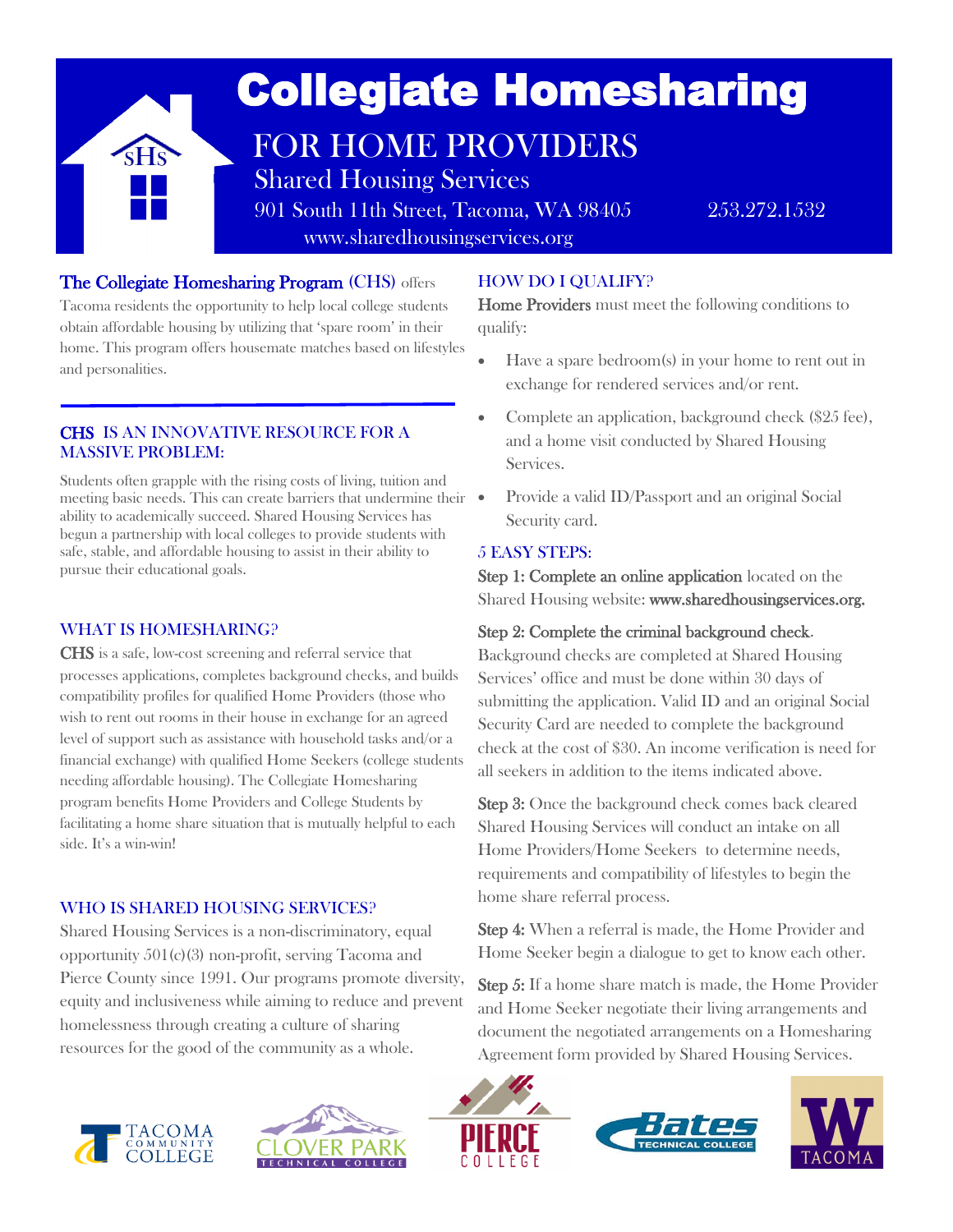

## The Collegiate Homesharing Program (CHS) offers

Tacoma residents the opportunity to help local college students obtain affordable housing by utilizing that 'spare room' in their home. This program offers housemate matches based on lifestyles and personalities.

### CHS IS AN INNOVATIVE RESOURCE FOR A MASSIVE PROBLEM:

Students often grapple with the rising costs of living, tuition and meeting basic needs. This can create barriers that undermine their ability to academically succeed. Shared Housing Services has begun a partnership with local colleges to provide students with safe, stable, and affordable housing to assist in their ability to pursue their educational goals.

### WHAT IS HOMESHARING?

l

CHS is a safe, low-cost screening and referral service that processes applications, completes background checks, and builds compatibility profiles for qualified Home Providers (those who wish to rent out rooms in their house in exchange for an agreed level of support such as assistance with household tasks and/or a financial exchange) with qualified Home Seekers (college students needing affordable housing). The Collegiate Homesharing program benefits Home Providers and College Students by facilitating a home share situation that is mutually helpful to each side. It's a win-win!

### WHO IS SHARED HOUSING SERVICES?

Shared Housing Services is a non-discriminatory, equal opportunity 501(c)(3) non-profit, serving Tacoma and Pierce County since 1991. Our programs promote diversity, equity and inclusiveness while aiming to reduce and prevent homelessness through creating a culture of sharing resources for the good of the community as a whole.

# HOW DO I QUALIFY?

Home Providers must meet the following conditions to qualify:

- Have a spare bedroom(s) in your home to rent out in exchange for rendered services and/or rent.
- Complete an application, background check (\$25 fee), and a home visit conducted by Shared Housing Services.
- Provide a valid ID/Passport and an original Social Security card.

## 5 EASY STEPS:

Step 1: Complete an online application located on the Shared Housing website: www.sharedhousingservices.org.

## Step 2: Complete the criminal background check.

Background checks are completed at Shared Housing Services' office and must be done within 30 days of submitting the application. Valid ID and an original Social Security Card are needed to complete the background check at the cost of \$30. An income verification is need for all seekers in addition to the items indicated above.

Step 3: Once the background check comes back cleared Shared Housing Services will conduct an intake on all Home Providers/Home Seekers to determine needs, requirements and compatibility of lifestyles to begin the home share referral process.

Step 4: When a referral is made, the Home Provider and Home Seeker begin a dialogue to get to know each other.

Step 5: If a home share match is made, the Home Provider and Home Seeker negotiate their living arrangements and document the negotiated arrangements on a Homesharing Agreement form provided by Shared Housing Services.